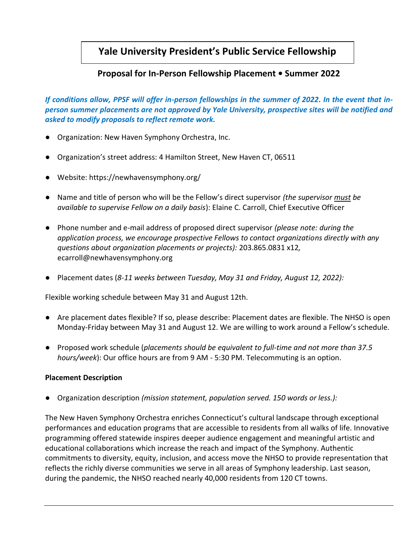## **Yale University President's Public Service Fellowship**

## **Proposal for In-Person Fellowship Placement • Summer 2022**

*If conditions allow, PPSF will offer in-person fellowships in the summer of 2022. In the event that inperson summer placements are not approved by Yale University, prospective sites will be notified and asked to modify proposals to reflect remote work.*

- Organization: New Haven Symphony Orchestra, Inc.
- Organization's street address: 4 Hamilton Street, New Haven CT, 06511
- Website: https://newhavensymphony.org/
- Name and title of person who will be the Fellow's direct supervisor *(the supervisor must be available to supervise Fellow on a daily basis*): Elaine C. Carroll, Chief Executive Officer
- Phone number and e-mail address of proposed direct supervisor *(please note: during the application process, we encourage prospective Fellows to contact organizations directly with any questions about organization placements or projects):* 203.865.0831 x12*[,](mailto:ecarroll@newhavensymphony.org)* [ecarroll@newhavensymphony.org](mailto:ecarroll@newhavensymphony.org)
- Placement dates (*8-11 weeks between Tuesday, May 31 and Friday, August 12, 2022):*

Flexible working schedule between May 31 and August 12th.

- Are placement dates flexible? If so, please describe: Placement dates are flexible. The NHSO is open Monday-Friday between May 31 and August 12. We are willing to work around a Fellow's schedule.
- Proposed work schedule (*placements should be equivalent to full-time and not more than 37.5 hours/week*): Our office hours are from 9 AM - 5:30 PM. Telecommuting is an option.

## **Placement Description**

● Organization description *(mission statement, population served. 150 words or less.):*

The New Haven Symphony Orchestra enriches Connecticut's cultural landscape through exceptional performances and education programs that are accessible to residents from all walks of life. Innovative programming offered statewide inspires deeper audience engagement and meaningful artistic and educational collaborations which increase the reach and impact of the Symphony. Authentic commitments to diversity, equity, inclusion, and access move the NHSO to provide representation that reflects the richly diverse communities we serve in all areas of Symphony leadership. Last season, during the pandemic, the NHSO reached nearly 40,000 residents from 120 CT towns.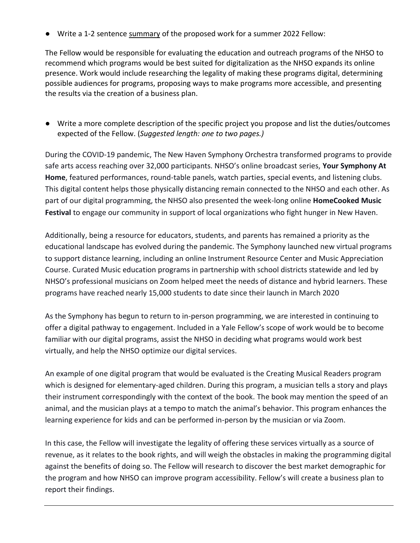● Write a 1-2 sentence summary of the proposed work for a summer 2022 Fellow:

The Fellow would be responsible for evaluating the education and outreach programs of the NHSO to recommend which programs would be best suited for digitalization as the NHSO expands its online presence. Work would include researching the legality of making these programs digital, determining possible audiences for programs, proposing ways to make programs more accessible, and presenting the results via the creation of a business plan.

● Write a more complete description of the specific project you propose and list the duties/outcomes expected of the Fellow. (*Suggested length: one to two pages.)*

During the COVID-19 pandemic, The New Haven Symphony Orchestra transformed programs to provide safe arts access reaching over 32,000 participants. NHSO's online broadcast series, **Your Symphony At Home**, featured performances, round-table panels, watch parties, special events, and listening clubs. This digital content helps those physically distancing remain connected to the NHSO and each other. As part of our digital programming, the NHSO also presented the week-long online **HomeCooked Music Festival** to engage our community in support of local organizations who fight hunger in New Haven.

Additionally, being a resource for educators, students, and parents has remained a priority as the educational landscape has evolved during the pandemic. The Symphony launched new virtual programs to support distance learning, including an online Instrument Resource Center and Music Appreciation Course. Curated Music education programs in partnership with school districts statewide and led by NHSO's professional musicians on Zoom helped meet the needs of distance and hybrid learners. These programs have reached nearly 15,000 students to date since their launch in March 2020

As the Symphony has begun to return to in-person programming, we are interested in continuing to offer a digital pathway to engagement. Included in a Yale Fellow's scope of work would be to become familiar with our digital programs, assist the NHSO in deciding what programs would work best virtually, and help the NHSO optimize our digital services.

An example of one digital program that would be evaluated is the Creating Musical Readers program which is designed for elementary-aged children. During this program, a musician tells a story and plays their instrument correspondingly with the context of the book. The book may mention the speed of an animal, and the musician plays at a tempo to match the animal's behavior. This program enhances the learning experience for kids and can be performed in-person by the musician or via Zoom.

In this case, the Fellow will investigate the legality of offering these services virtually as a source of revenue, as it relates to the book rights, and will weigh the obstacles in making the programming digital against the benefits of doing so. The Fellow will research to discover the best market demographic for the program and how NHSO can improve program accessibility. Fellow's will create a business plan to report their findings.